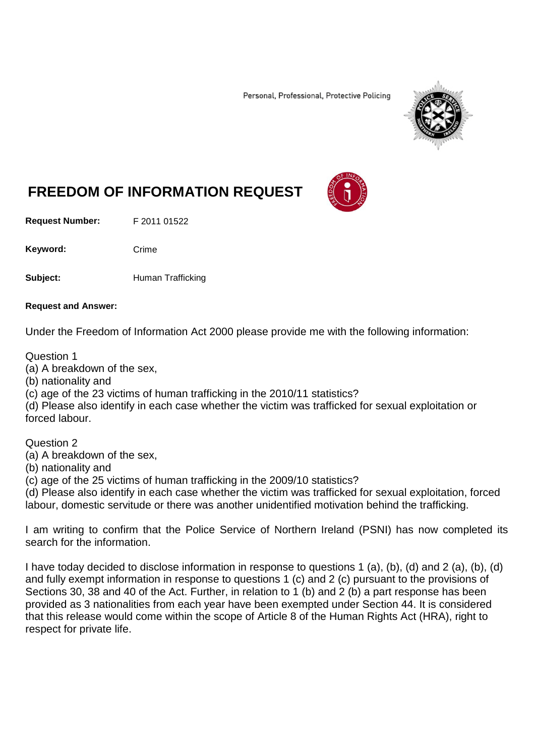Personal, Professional, Protective Policing



# **FREEDOM OF INFORMATION REQUEST**

**Request Number:** F 2011 01522

Keyword: Crime

**Subject:** Human Trafficking

#### **Request and Answer:**

Under the Freedom of Information Act 2000 please provide me with the following information:

#### Question 1

(a) A breakdown of the sex,

(b) nationality and

(c) age of the 23 victims of human trafficking in the 2010/11 statistics?

(d) Please also identify in each case whether the victim was trafficked for sexual exploitation or forced labour.

Question 2

(a) A breakdown of the sex,

(b) nationality and

(c) age of the 25 victims of human trafficking in the 2009/10 statistics?

(d) Please also identify in each case whether the victim was trafficked for sexual exploitation, forced labour, domestic servitude or there was another unidentified motivation behind the trafficking.

I am writing to confirm that the Police Service of Northern Ireland (PSNI) has now completed its search for the information.

I have today decided to disclose information in response to questions 1 (a), (b), (d) and 2 (a), (b), (d) and fully exempt information in response to questions 1 (c) and 2 (c) pursuant to the provisions of Sections 30, 38 and 40 of the Act. Further, in relation to 1 (b) and 2 (b) a part response has been provided as 3 nationalities from each year have been exempted under Section 44. It is considered that this release would come within the scope of Article 8 of the Human Rights Act (HRA), right to respect for private life.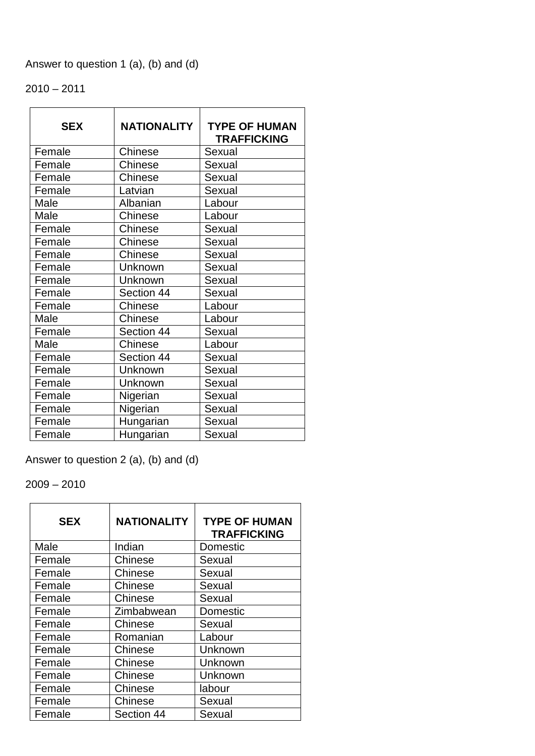# Answer to question 1 (a), (b) and (d)

# $2010 - 2011$

| <b>SEX</b> | <b>NATIONALITY</b> | <b>TYPE OF HUMAN</b><br><b>TRAFFICKING</b> |
|------------|--------------------|--------------------------------------------|
| Female     | Chinese            | Sexual                                     |
| Female     | <b>Chinese</b>     | Sexual                                     |
| Female     | Chinese            | Sexual                                     |
| Female     | Latvian            | Sexual                                     |
| Male       | Albanian           | Labour                                     |
| Male       | Chinese            | Labour                                     |
| Female     | <b>Chinese</b>     | Sexual                                     |
| Female     | <b>Chinese</b>     | Sexual                                     |
| Female     | <b>Chinese</b>     | Sexual                                     |
| Female     | Unknown            | Sexual                                     |
| Female     | Unknown            | Sexual                                     |
| Female     | Section 44         | Sexual                                     |
| Female     | Chinese            | Labour                                     |
| Male       | Chinese            | Labour                                     |
| Female     | Section 44         | Sexual                                     |
| Male       | <b>Chinese</b>     | Labour                                     |
| Female     | Section 44         | Sexual                                     |
| Female     | Unknown            | Sexual                                     |
| Female     | Unknown            | Sexual                                     |
| Female     | Nigerian           | Sexual                                     |
| Female     | Nigerian           | Sexual                                     |
| Female     | Hungarian          | Sexual                                     |
| Female     | Hungarian          | Sexual                                     |

Answer to question 2 (a), (b) and (d)

2009 – 2010

| <b>SEX</b> | <b>NATIONALITY</b> | <b>TYPE OF HUMAN</b><br><b>TRAFFICKING</b> |
|------------|--------------------|--------------------------------------------|
| Male       | Indian             | Domestic                                   |
| Female     | Chinese            | Sexual                                     |
| Female     | Chinese            | Sexual                                     |
| Female     | Chinese            | Sexual                                     |
| Female     | Chinese            | Sexual                                     |
| Female     | Zimbabwean         | Domestic                                   |
| Female     | Chinese            | Sexual                                     |
| Female     | Romanian           | Labour                                     |
| Female     | Chinese            | Unknown                                    |
| Female     | Chinese            | Unknown                                    |
| Female     | Chinese            | Unknown                                    |
| Female     | Chinese            | labour                                     |
| Female     | Chinese            | Sexual                                     |
| Female     | Section 44         | Sexual                                     |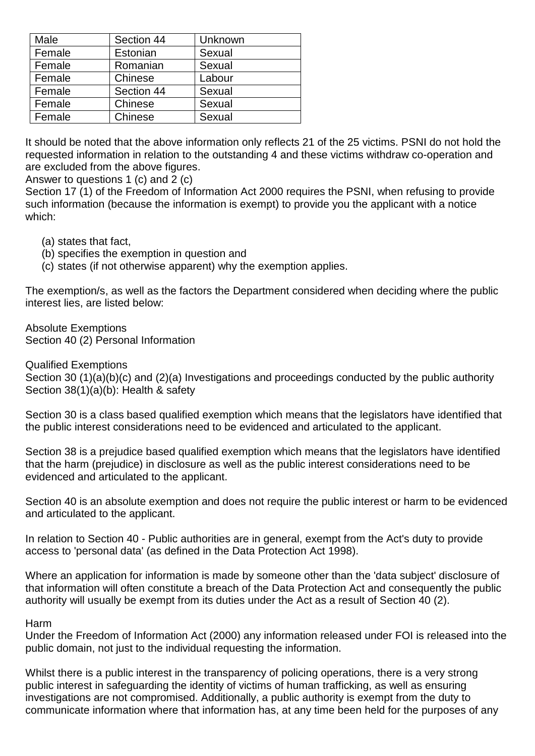| Male   | Section 44 | Unknown |
|--------|------------|---------|
| Female | Estonian   | Sexual  |
| Female | Romanian   | Sexual  |
| Female | Chinese    | Labour  |
| Female | Section 44 | Sexual  |
| Female | Chinese    | Sexual  |
| Female | Chinese    | Sexual  |

It should be noted that the above information only reflects 21 of the 25 victims. PSNI do not hold the requested information in relation to the outstanding 4 and these victims withdraw co-operation and are excluded from the above figures.

Answer to questions 1 (c) and 2 (c)

Section 17 (1) of the Freedom of Information Act 2000 requires the PSNI, when refusing to provide such information (because the information is exempt) to provide you the applicant with a notice which:

- (a) states that fact,
- (b) specifies the exemption in question and
- (c) states (if not otherwise apparent) why the exemption applies.

The exemption/s, as well as the factors the Department considered when deciding where the public interest lies, are listed below:

Absolute Exemptions Section 40 (2) Personal Information

#### Qualified Exemptions

Section 30 (1)(a)(b)(c) and (2)(a) Investigations and proceedings conducted by the public authority Section 38(1)(a)(b): Health & safety

Section 30 is a class based qualified exemption which means that the legislators have identified that the public interest considerations need to be evidenced and articulated to the applicant.

Section 38 is a prejudice based qualified exemption which means that the legislators have identified that the harm (prejudice) in disclosure as well as the public interest considerations need to be evidenced and articulated to the applicant.

Section 40 is an absolute exemption and does not require the public interest or harm to be evidenced and articulated to the applicant.

In relation to Section 40 - Public authorities are in general, exempt from the Act's duty to provide access to 'personal data' (as defined in the Data Protection Act 1998).

Where an application for information is made by someone other than the 'data subject' disclosure of that information will often constitute a breach of the Data Protection Act and consequently the public authority will usually be exempt from its duties under the Act as a result of Section 40 (2).

#### Harm

Under the Freedom of Information Act (2000) any information released under FOI is released into the public domain, not just to the individual requesting the information.

Whilst there is a public interest in the transparency of policing operations, there is a very strong public interest in safeguarding the identity of victims of human trafficking, as well as ensuring investigations are not compromised. Additionally, a public authority is exempt from the duty to communicate information where that information has, at any time been held for the purposes of any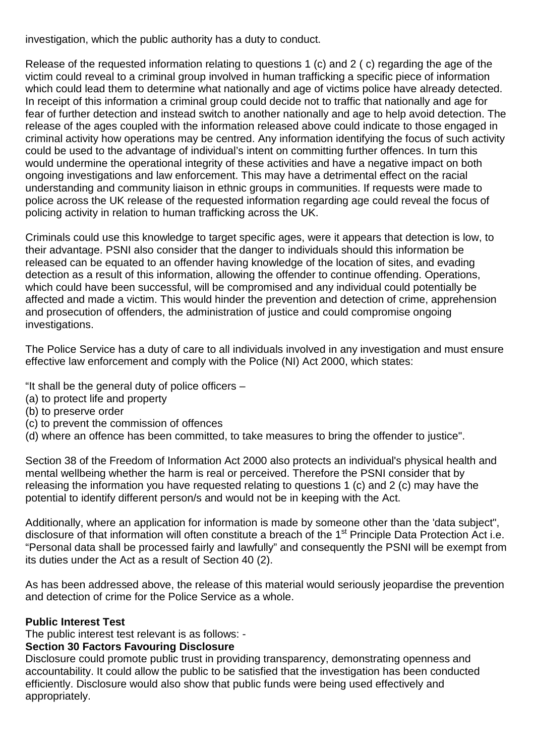investigation, which the public authority has a duty to conduct.

Release of the requested information relating to questions 1 (c) and 2 ( c) regarding the age of the victim could reveal to a criminal group involved in human trafficking a specific piece of information which could lead them to determine what nationally and age of victims police have already detected. In receipt of this information a criminal group could decide not to traffic that nationally and age for fear of further detection and instead switch to another nationally and age to help avoid detection. The release of the ages coupled with the information released above could indicate to those engaged in criminal activity how operations may be centred. Any information identifying the focus of such activity could be used to the advantage of individual's intent on committing further offences. In turn this would undermine the operational integrity of these activities and have a negative impact on both ongoing investigations and law enforcement. This may have a detrimental effect on the racial understanding and community liaison in ethnic groups in communities. If requests were made to police across the UK release of the requested information regarding age could reveal the focus of policing activity in relation to human trafficking across the UK.

Criminals could use this knowledge to target specific ages, were it appears that detection is low, to their advantage. PSNI also consider that the danger to individuals should this information be released can be equated to an offender having knowledge of the location of sites, and evading detection as a result of this information, allowing the offender to continue offending. Operations, which could have been successful, will be compromised and any individual could potentially be affected and made a victim. This would hinder the prevention and detection of crime, apprehension and prosecution of offenders, the administration of justice and could compromise ongoing investigations.

The Police Service has a duty of care to all individuals involved in any investigation and must ensure effective law enforcement and comply with the Police (NI) Act 2000, which states:

"It shall be the general duty of police officers –

- (a) to protect life and property
- (b) to preserve order
- (c) to prevent the commission of offences
- (d) where an offence has been committed, to take measures to bring the offender to justice".

Section 38 of the Freedom of Information Act 2000 also protects an individual's physical health and mental wellbeing whether the harm is real or perceived. Therefore the PSNI consider that by releasing the information you have requested relating to questions 1 (c) and 2 (c) may have the potential to identify different person/s and would not be in keeping with the Act.

Additionally, where an application for information is made by someone other than the 'data subject", disclosure of that information will often constitute a breach of the 1<sup>st</sup> Principle Data Protection Act i.e. "Personal data shall be processed fairly and lawfully" and consequently the PSNI will be exempt from its duties under the Act as a result of Section 40 (2).

As has been addressed above, the release of this material would seriously jeopardise the prevention and detection of crime for the Police Service as a whole.

## **Public Interest Test**

The public interest test relevant is as follows: -

# **Section 30 Factors Favouring Disclosure**

Disclosure could promote public trust in providing transparency, demonstrating openness and accountability. It could allow the public to be satisfied that the investigation has been conducted efficiently. Disclosure would also show that public funds were being used effectively and appropriately.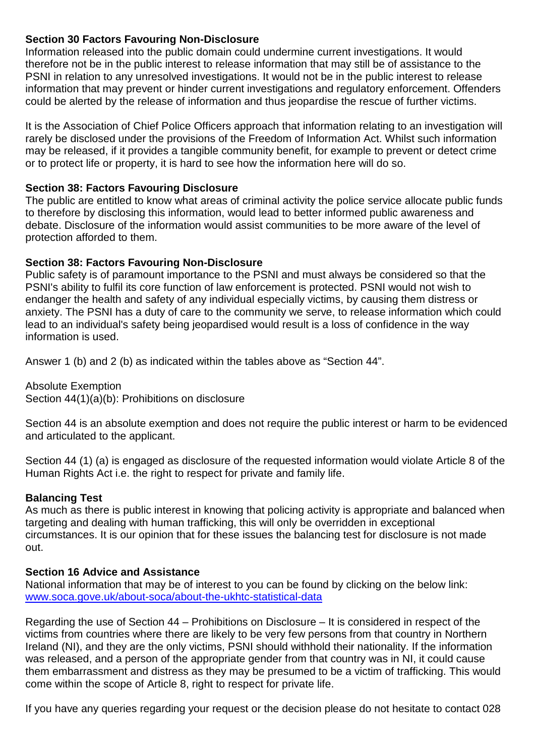### **Section 30 Factors Favouring Non-Disclosure**

Information released into the public domain could undermine current investigations. It would therefore not be in the public interest to release information that may still be of assistance to the PSNI in relation to any unresolved investigations. It would not be in the public interest to release information that may prevent or hinder current investigations and regulatory enforcement. Offenders could be alerted by the release of information and thus jeopardise the rescue of further victims.

It is the Association of Chief Police Officers approach that information relating to an investigation will rarely be disclosed under the provisions of the Freedom of Information Act. Whilst such information may be released, if it provides a tangible community benefit, for example to prevent or detect crime or to protect life or property, it is hard to see how the information here will do so.

#### **Section 38: Factors Favouring Disclosure**

The public are entitled to know what areas of criminal activity the police service allocate public funds to therefore by disclosing this information, would lead to better informed public awareness and debate. Disclosure of the information would assist communities to be more aware of the level of protection afforded to them.

#### **Section 38: Factors Favouring Non-Disclosure**

Public safety is of paramount importance to the PSNI and must always be considered so that the PSNI's ability to fulfil its core function of law enforcement is protected. PSNI would not wish to endanger the health and safety of any individual especially victims, by causing them distress or anxiety. The PSNI has a duty of care to the community we serve, to release information which could lead to an individual's safety being jeopardised would result is a loss of confidence in the way information is used.

Answer 1 (b) and 2 (b) as indicated within the tables above as "Section 44".

Absolute Exemption Section 44(1)(a)(b): Prohibitions on disclosure

Section 44 is an absolute exemption and does not require the public interest or harm to be evidenced and articulated to the applicant.

Section 44 (1) (a) is engaged as disclosure of the requested information would violate Article 8 of the Human Rights Act i.e. the right to respect for private and family life.

## **Balancing Test**

As much as there is public interest in knowing that policing activity is appropriate and balanced when targeting and dealing with human trafficking, this will only be overridden in exceptional circumstances. It is our opinion that for these issues the balancing test for disclosure is not made out.

## **Section 16 Advice and Assistance**

National information that may be of interest to you can be found by clicking on the below link: [www.soca.gove.uk/about-soca/about-the-ukhtc-statistical-data](http://www.soca.gove.uk/about-soca/about-the-ukhtc-statistical-data)

Regarding the use of Section 44 – Prohibitions on Disclosure – It is considered in respect of the victims from countries where there are likely to be very few persons from that country in Northern Ireland (NI), and they are the only victims, PSNI should withhold their nationality. If the information was released, and a person of the appropriate gender from that country was in NI, it could cause them embarrassment and distress as they may be presumed to be a victim of trafficking. This would come within the scope of Article 8, right to respect for private life.

If you have any queries regarding your request or the decision please do not hesitate to contact 028